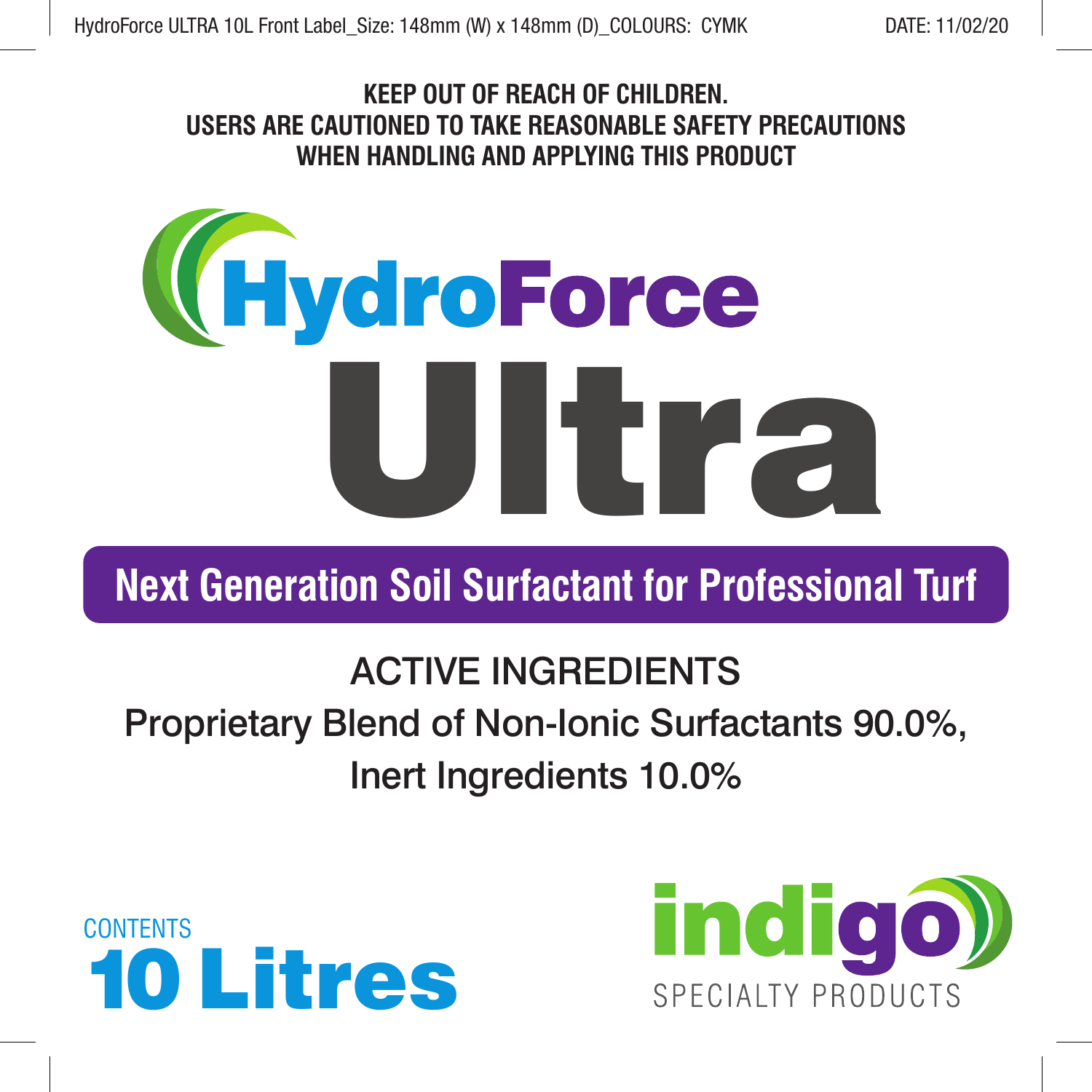## **KEEP OUT OF REACH OF CHILDREN. USERS ARE CAUTIONED TO TAKE REASONABLE SAFETY PRECAUTIONS WHEN HANDLING AND APPLYING THIS PRODUCT**



**Next Generation Soil Surfactant for Professional Turf**

# ACTIVE INGREDIENTS Proprietary Blend of Non-Ionic Surfactants 90.0%, Inert Ingredients 10.0%